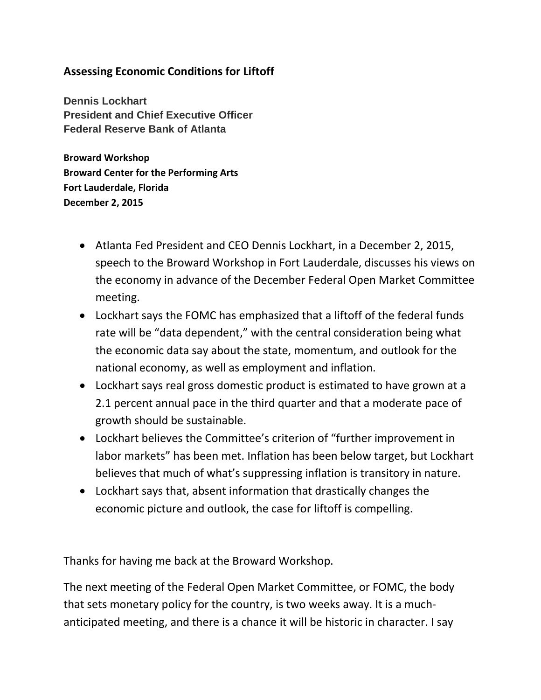## **Assessing Economic Conditions for Liftoff**

**Dennis Lockhart President and Chief Executive Officer Federal Reserve Bank of Atlanta**

**Broward Workshop Broward Center for the Performing Arts Fort Lauderdale, Florida December 2, 2015** 

- Atlanta Fed President and CEO Dennis Lockhart, in a December 2, 2015, speech to the Broward Workshop in Fort Lauderdale, discusses his views on the economy in advance of the December Federal Open Market Committee meeting.
- Lockhart says the FOMC has emphasized that a liftoff of the federal funds rate will be "data dependent," with the central consideration being what the economic data say about the state, momentum, and outlook for the national economy, as well as employment and inflation.
- Lockhart says real gross domestic product is estimated to have grown at a 2.1 percent annual pace in the third quarter and that a moderate pace of growth should be sustainable.
- Lockhart believes the Committee's criterion of "further improvement in labor markets" has been met. Inflation has been below target, but Lockhart believes that much of what's suppressing inflation is transitory in nature.
- Lockhart says that, absent information that drastically changes the economic picture and outlook, the case for liftoff is compelling.

Thanks for having me back at the Broward Workshop.

The next meeting of the Federal Open Market Committee, or FOMC, the body that sets monetary policy for the country, is two weeks away. It is a muchanticipated meeting, and there is a chance it will be historic in character. I say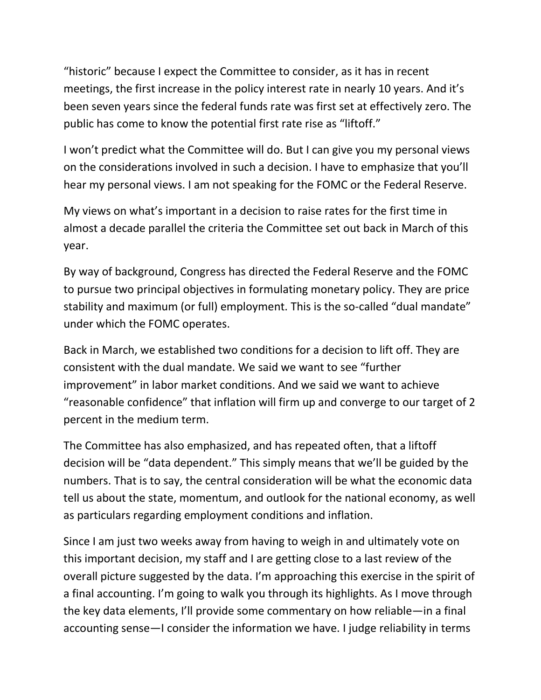"historic" because I expect the Committee to consider, as it has in recent meetings, the first increase in the policy interest rate in nearly 10 years. And it's been seven years since the federal funds rate was first set at effectively zero. The public has come to know the potential first rate rise as "liftoff."

I won't predict what the Committee will do. But I can give you my personal views on the considerations involved in such a decision. I have to emphasize that you'll hear my personal views. I am not speaking for the FOMC or the Federal Reserve.

My views on what's important in a decision to raise rates for the first time in almost a decade parallel the criteria the Committee set out back in March of this year.

By way of background, Congress has directed the Federal Reserve and the FOMC to pursue two principal objectives in formulating monetary policy. They are price stability and maximum (or full) employment. This is the so-called "dual mandate" under which the FOMC operates.

Back in March, we established two conditions for a decision to lift off. They are consistent with the dual mandate. We said we want to see "further improvement" in labor market conditions. And we said we want to achieve "reasonable confidence" that inflation will firm up and converge to our target of 2 percent in the medium term.

The Committee has also emphasized, and has repeated often, that a liftoff decision will be "data dependent." This simply means that we'll be guided by the numbers. That is to say, the central consideration will be what the economic data tell us about the state, momentum, and outlook for the national economy, as well as particulars regarding employment conditions and inflation.

Since I am just two weeks away from having to weigh in and ultimately vote on this important decision, my staff and I are getting close to a last review of the overall picture suggested by the data. I'm approaching this exercise in the spirit of a final accounting. I'm going to walk you through its highlights. As I move through the key data elements, I'll provide some commentary on how reliable—in a final accounting sense—I consider the information we have. I judge reliability in terms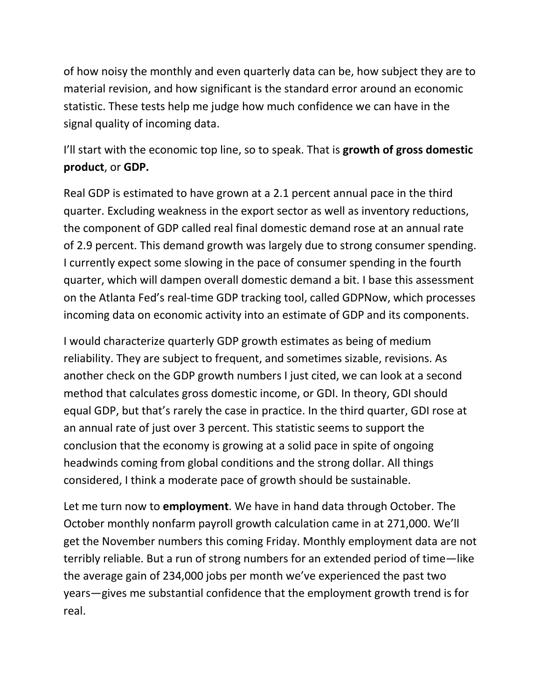of how noisy the monthly and even quarterly data can be, how subject they are to material revision, and how significant is the standard error around an economic statistic. These tests help me judge how much confidence we can have in the signal quality of incoming data.

## I'll start with the economic top line, so to speak. That is **growth of gross domestic product**, or **GDP.**

Real GDP is estimated to have grown at a 2.1 percent annual pace in the third quarter. Excluding weakness in the export sector as well as inventory reductions, the component of GDP called real final domestic demand rose at an annual rate of 2.9 percent. This demand growth was largely due to strong consumer spending. I currently expect some slowing in the pace of consumer spending in the fourth quarter, which will dampen overall domestic demand a bit. I base this assessment on the Atlanta Fed's real-time GDP tracking tool, called GDPNow, which processes incoming data on economic activity into an estimate of GDP and its components.

I would characterize quarterly GDP growth estimates as being of medium reliability. They are subject to frequent, and sometimes sizable, revisions. As another check on the GDP growth numbers I just cited, we can look at a second method that calculates gross domestic income, or GDI. In theory, GDI should equal GDP, but that's rarely the case in practice. In the third quarter, GDI rose at an annual rate of just over 3 percent. This statistic seems to support the conclusion that the economy is growing at a solid pace in spite of ongoing headwinds coming from global conditions and the strong dollar. All things considered, I think a moderate pace of growth should be sustainable.

Let me turn now to **employment**. We have in hand data through October. The October monthly nonfarm payroll growth calculation came in at 271,000. We'll get the November numbers this coming Friday. Monthly employment data are not terribly reliable. But a run of strong numbers for an extended period of time—like the average gain of 234,000 jobs per month we've experienced the past two years—gives me substantial confidence that the employment growth trend is for real.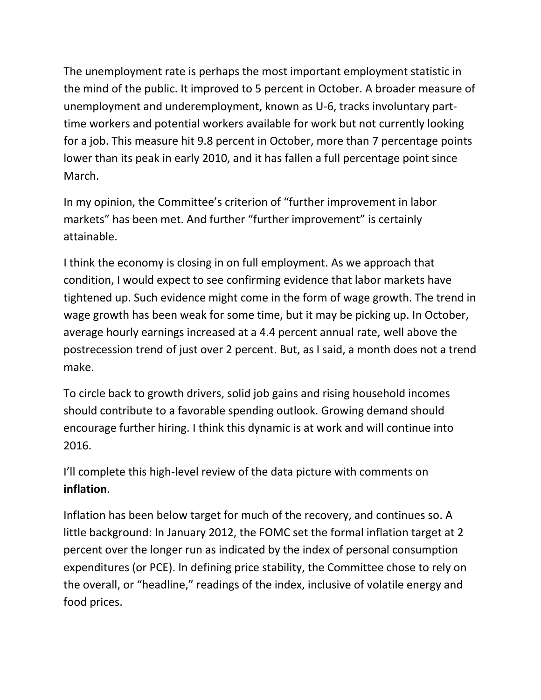The unemployment rate is perhaps the most important employment statistic in the mind of the public. It improved to 5 percent in October. A broader measure of unemployment and underemployment, known as U-6, tracks involuntary parttime workers and potential workers available for work but not currently looking for a job. This measure hit 9.8 percent in October, more than 7 percentage points lower than its peak in early 2010, and it has fallen a full percentage point since March.

In my opinion, the Committee's criterion of "further improvement in labor markets" has been met. And further "further improvement" is certainly attainable.

I think the economy is closing in on full employment. As we approach that condition, I would expect to see confirming evidence that labor markets have tightened up. Such evidence might come in the form of wage growth. The trend in wage growth has been weak for some time, but it may be picking up. In October, average hourly earnings increased at a 4.4 percent annual rate, well above the postrecession trend of just over 2 percent. But, as I said, a month does not a trend make.

To circle back to growth drivers, solid job gains and rising household incomes should contribute to a favorable spending outlook. Growing demand should encourage further hiring. I think this dynamic is at work and will continue into 2016.

I'll complete this high-level review of the data picture with comments on **inflation**.

Inflation has been below target for much of the recovery, and continues so. A little background: In January 2012, the FOMC set the formal inflation target at 2 percent over the longer run as indicated by the index of personal consumption expenditures (or PCE). In defining price stability, the Committee chose to rely on the overall, or "headline," readings of the index, inclusive of volatile energy and food prices.